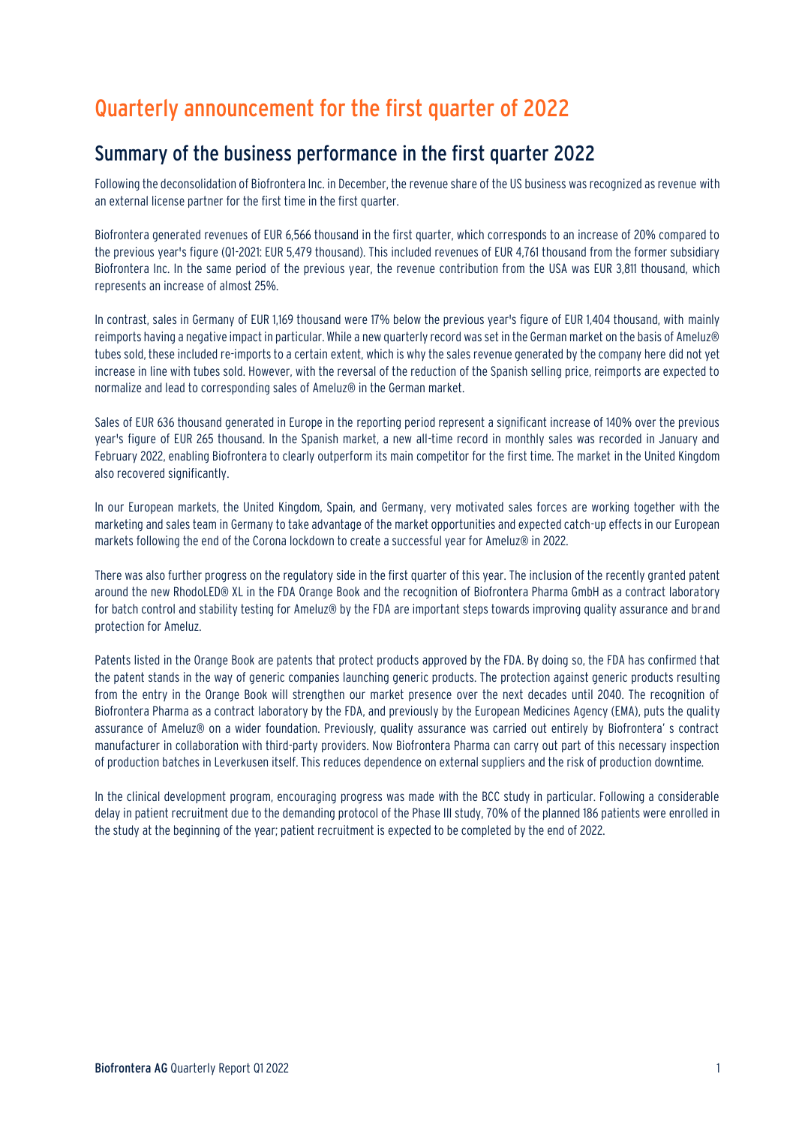# Quarterly announcement for the first quarter of 2022

## Summary of the business performance in the first quarter 2022

Following the deconsolidation of Biofrontera Inc. in December, the revenue share of the US business was recognized as revenue with an external license partner for the first time in the first quarter.

Biofrontera generated revenues of EUR 6,566 thousand in the first quarter, which corresponds to an increase of 20% compared to the previous year's figure (Q1-2021: EUR 5,479 thousand). This included revenues of EUR 4,761 thousand from the former subsidiary Biofrontera Inc. In the same period of the previous year, the revenue contribution from the USA was EUR 3,811 thousand, which represents an increase of almost 25%.

In contrast, sales in Germany of EUR 1,169 thousand were 17% below the previous year's figure of EUR 1,404 thousand, with mainly reimports having a negative impact in particular. While a new quarterly record was set in the German market on the basis of Ameluz® tubes sold, these included re-imports to a certain extent, which is why the sales revenue generated by the company here did not yet increase in line with tubes sold. However, with the reversal of the reduction of the Spanish selling price, reimports are expected to normalize and lead to corresponding sales of Ameluz® in the German market.

Sales of EUR 636 thousand generated in Europe in the reporting period represent a significant increase of 140% over the previous year's figure of EUR 265 thousand. In the Spanish market, a new all-time record in monthly sales was recorded in January and February 2022, enabling Biofrontera to clearly outperform its main competitor for the first time. The market in the United Kingdom also recovered significantly.

In our European markets, the United Kingdom, Spain, and Germany, very motivated sales forces are working together with the marketing and sales team in Germany to take advantage of the market opportunities and expected catch-up effects in our European markets following the end of the Corona lockdown to create a successful year for Ameluz® in 2022.

There was also further progress on the regulatory side in the first quarter of this year. The inclusion of the recently granted patent around the new RhodoLED® XL in the FDA Orange Book and the recognition of Biofrontera Pharma GmbH as a contract laboratory for batch control and stability testing for Ameluz® by the FDA are important steps towards improving quality assurance and brand protection for Ameluz.

Patents listed in the Orange Book are patents that protect products approved by the FDA. By doing so, the FDA has confirmed that the patent stands in the way of generic companies launching generic products. The protection against generic products resulting from the entry in the Orange Book will strengthen our market presence over the next decades until 2040. The recognition of Biofrontera Pharma as a contract laboratory by the FDA, and previously by the European Medicines Agency (EMA), puts the quality assurance of Ameluz® on a wider foundation. Previously, quality assurance was carried out entirely by Biofrontera' s contract manufacturer in collaboration with third-party providers. Now Biofrontera Pharma can carry out part of this necessary inspection of production batches in Leverkusen itself. This reduces dependence on external suppliers and the risk of production downtime.

In the clinical development program, encouraging progress was made with the BCC study in particular. Following a considerable delay in patient recruitment due to the demanding protocol of the Phase III study, 70% of the planned 186 patients were enrolled in the study at the beginning of the year; patient recruitment is expected to be completed by the end of 2022.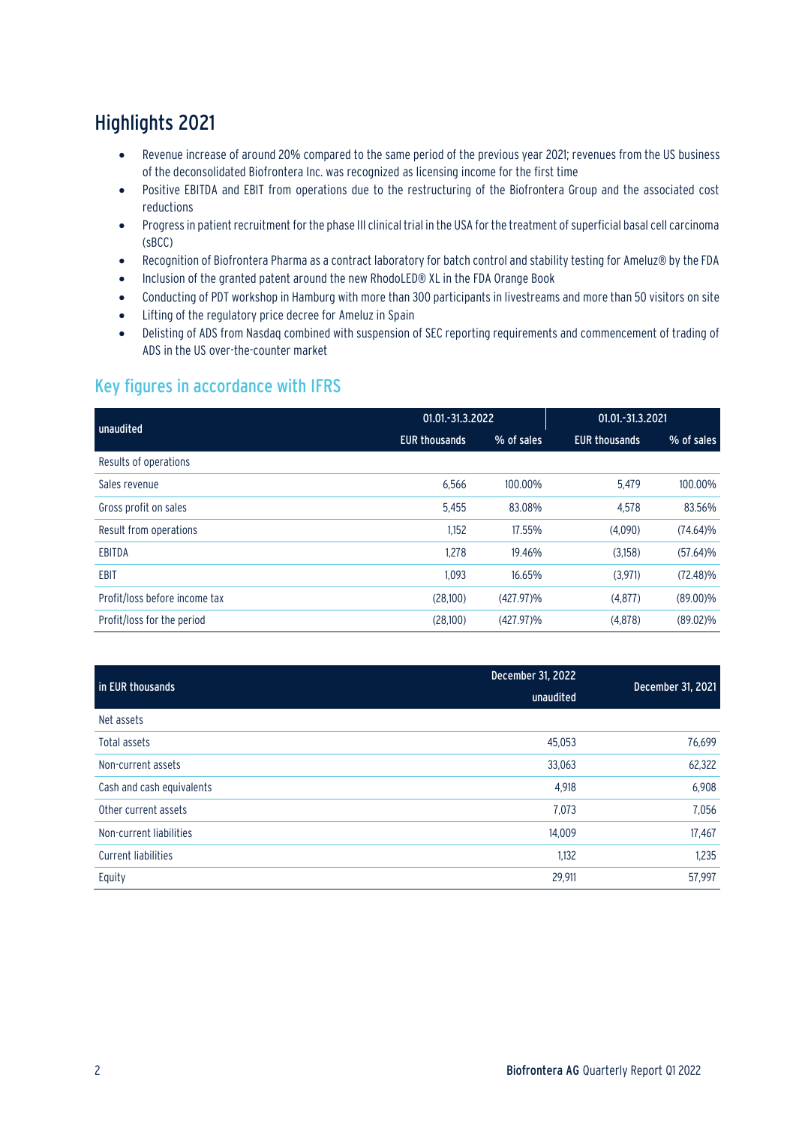## Highlights 2021

- Revenue increase of around 20% compared to the same period of the previous year 2021; revenues from the US business of the deconsolidated Biofrontera Inc. was recognized as licensing income for the first time
- Positive EBITDA and EBIT from operations due to the restructuring of the Biofrontera Group and the associated cost reductions
- Progress in patient recruitment for the phase III clinical trial in the USA for the treatment of superficial basal cell carcinoma (sBCC)
- Recognition of Biofrontera Pharma as a contract laboratory for batch control and stability testing for Ameluz® by the FDA
- Inclusion of the granted patent around the new RhodoLED® XL in the FDA Orange Book
- Conducting of PDT workshop in Hamburg with more than 300 participants in livestreams and more than 50 visitors on site
- Lifting of the regulatory price decree for Ameluz in Spain
- Delisting of ADS from Nasdaq combined with suspension of SEC reporting requirements and commencement of trading of ADS in the US over-the-counter market

## Key figures in accordance with IFRS

| unaudited                     | 01.01.-31.3.2022     |              | 01.01.-31.3.2021     |             |
|-------------------------------|----------------------|--------------|----------------------|-------------|
|                               | <b>EUR thousands</b> | % of sales   | <b>EUR thousands</b> | % of sales  |
| Results of operations         |                      |              |                      |             |
| Sales revenue                 | 6,566                | 100.00%      | 5,479                | 100.00%     |
| Gross profit on sales         | 5,455                | 83.08%       | 4.578                | 83.56%      |
| Result from operations        | 1,152                | 17.55%       | (4,090)              | $(74.64)\%$ |
| <b>EBITDA</b>                 | 1,278                | 19.46%       | (3,158)              | $(57.64)\%$ |
| <b>EBIT</b>                   | 1.093                | 16.65%       | (3.971)              | $(72.48)\%$ |
| Profit/loss before income tax | (28.100)             | $(427.97)\%$ | (4, 877)             | $(89.00)\%$ |
| Profit/loss for the period    | (28,100)             | $(427.97)\%$ | (4,878)              | $(89.02)\%$ |

| in EUR thousands           | December 31, 2022 | December 31, 2021 |  |
|----------------------------|-------------------|-------------------|--|
|                            | unaudited         |                   |  |
| Net assets                 |                   |                   |  |
| Total assets               | 45,053            | 76,699            |  |
| Non-current assets         | 33,063            | 62,322            |  |
| Cash and cash equivalents  | 4,918             | 6,908             |  |
| Other current assets       | 7,073             | 7,056             |  |
| Non-current liabilities    | 14,009            | 17,467            |  |
| <b>Current liabilities</b> | 1,132             | 1,235             |  |
| Equity                     | 29,911            | 57,997            |  |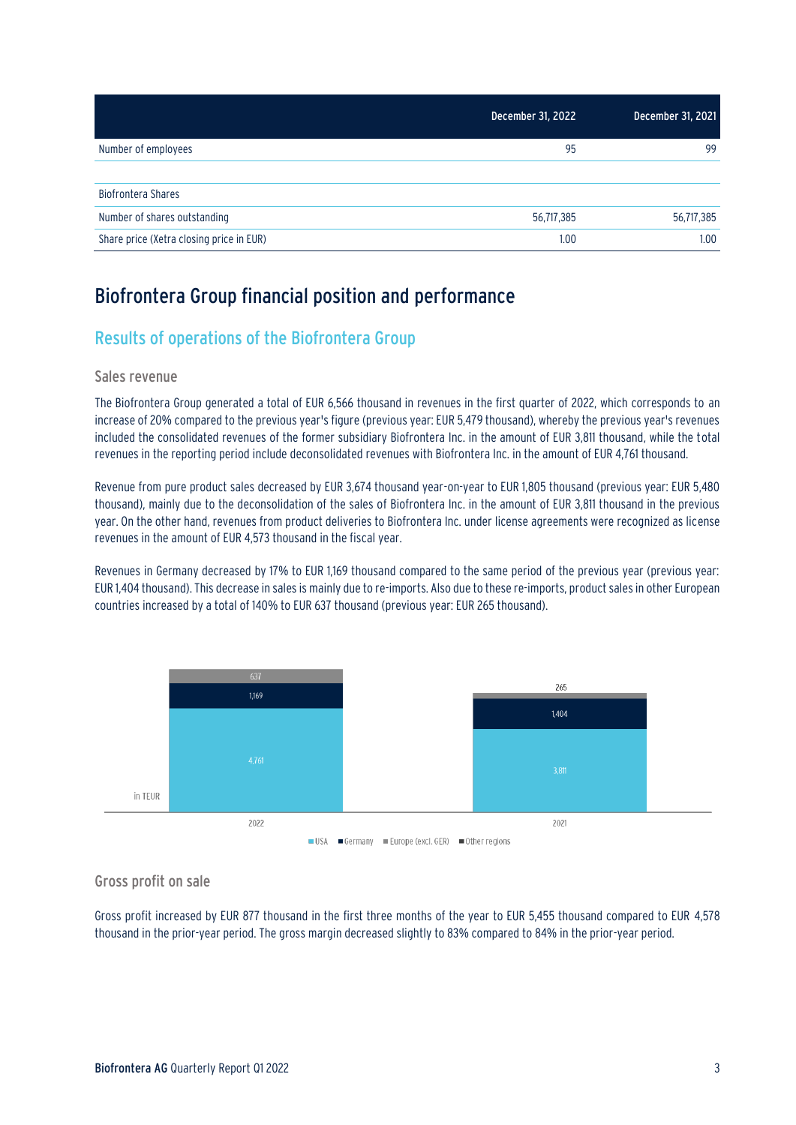|                                          | December 31, 2022 | December 31, 2021 |
|------------------------------------------|-------------------|-------------------|
| Number of employees                      | 95                | 99                |
| <b>Biofrontera Shares</b>                |                   |                   |
| Number of shares outstanding             | 56,717,385        | 56,717,385        |
| Share price (Xetra closing price in EUR) | 1.00              | 1.00              |

## Biofrontera Group financial position and performance

## Results of operations of the Biofrontera Group

#### Sales revenue

The Biofrontera Group generated a total of EUR 6,566 thousand in revenues in the first quarter of 2022, which corresponds to an increase of 20% compared to the previous year's figure (previous year: EUR 5,479 thousand), whereby the previous year's revenues included the consolidated revenues of the former subsidiary Biofrontera Inc. in the amount of EUR 3,811 thousand, while the total revenues in the reporting period include deconsolidated revenues with Biofrontera Inc. in the amount of EUR 4,761 thousand.

Revenue from pure product sales decreased by EUR 3,674 thousand year-on-year to EUR 1,805 thousand (previous year: EUR 5,480 thousand), mainly due to the deconsolidation of the sales of Biofrontera Inc. in the amount of EUR 3,811 thousand in the previous year. On the other hand, revenues from product deliveries to Biofrontera Inc. under license agreements were recognized as license revenues in the amount of EUR 4,573 thousand in the fiscal year.

Revenues in Germany decreased by 17% to EUR 1,169 thousand compared to the same period of the previous year (previous year: EUR 1,404 thousand). This decrease in sales is mainly due to re-imports. Also due to these re-imports, product sales in other European countries increased by a total of 140% to EUR 637 thousand (previous year: EUR 265 thousand).



### Gross profit on sale

Gross profit increased by EUR 877 thousand in the first three months of the year to EUR 5,455 thousand compared to EUR 4,578 thousand in the prior-year period. The gross margin decreased slightly to 83% compared to 84% in the prior-year period.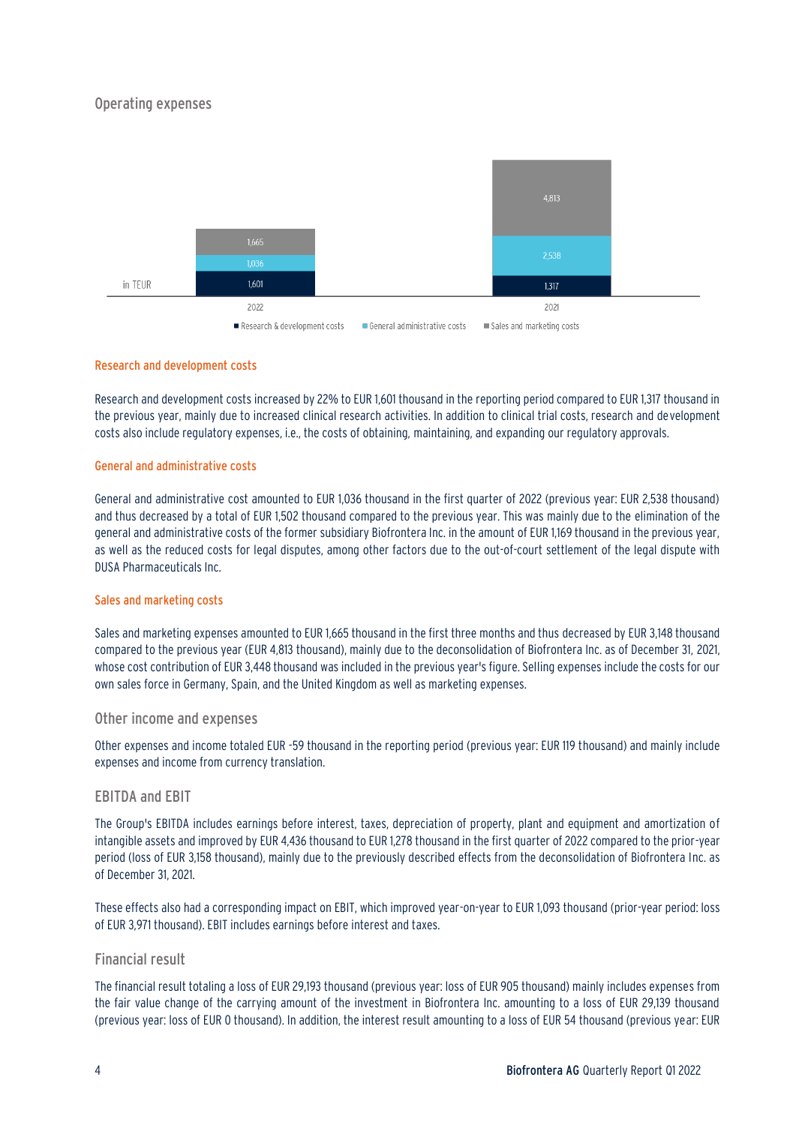### Operating expenses



#### Research and development costs

Research and development costs increased by 22% to EUR 1,601 thousand in the reporting period compared to EUR 1,317 thousand in the previous year, mainly due to increased clinical research activities. In addition to clinical trial costs, research and development costs also include regulatory expenses, i.e., the costs of obtaining, maintaining, and expanding our regulatory approvals.

#### General and administrative costs

General and administrative cost amounted to EUR 1,036 thousand in the first quarter of 2022 (previous year: EUR 2,538 thousand) and thus decreased by a total of EUR 1,502 thousand compared to the previous year. This was mainly due to the elimination of the general and administrative costs of the former subsidiary Biofrontera Inc. in the amount of EUR 1,169 thousand in the previous year, as well as the reduced costs for legal disputes, among other factors due to the out-of-court settlement of the legal dispute with DUSA Pharmaceuticals Inc.

#### Sales and marketing costs

Sales and marketing expenses amounted to EUR 1,665 thousand in the first three months and thus decreased by EUR 3,148 thousand compared to the previous year (EUR 4,813 thousand), mainly due to the deconsolidation of Biofrontera Inc. as of December 31, 2021, whose cost contribution of EUR 3,448 thousand was included in the previous year's figure. Selling expenses include the costs for our own sales force in Germany, Spain, and the United Kingdom as well as marketing expenses.

#### Other income and expenses

Other expenses and income totaled EUR -59 thousand in the reporting period (previous year: EUR 119 thousand) and mainly include expenses and income from currency translation.

#### EBITDA and EBIT

The Group's EBITDA includes earnings before interest, taxes, depreciation of property, plant and equipment and amortization of intangible assets and improved by EUR 4,436 thousand to EUR 1,278 thousand in the first quarter of 2022 compared to the prior-year period (loss of EUR 3,158 thousand), mainly due to the previously described effects from the deconsolidation of Biofrontera Inc. as of December 31, 2021.

These effects also had a corresponding impact on EBIT, which improved year-on-year to EUR 1,093 thousand (prior-year period: loss of EUR 3,971 thousand). EBIT includes earnings before interest and taxes.

#### Financial result

The financial result totaling a loss of EUR 29,193 thousand (previous year: loss of EUR 905 thousand) mainly includes expenses from the fair value change of the carrying amount of the investment in Biofrontera Inc. amounting to a loss of EUR 29,139 thousand (previous year: loss of EUR 0 thousand). In addition, the interest result amounting to a loss of EUR 54 thousand (previous year: EUR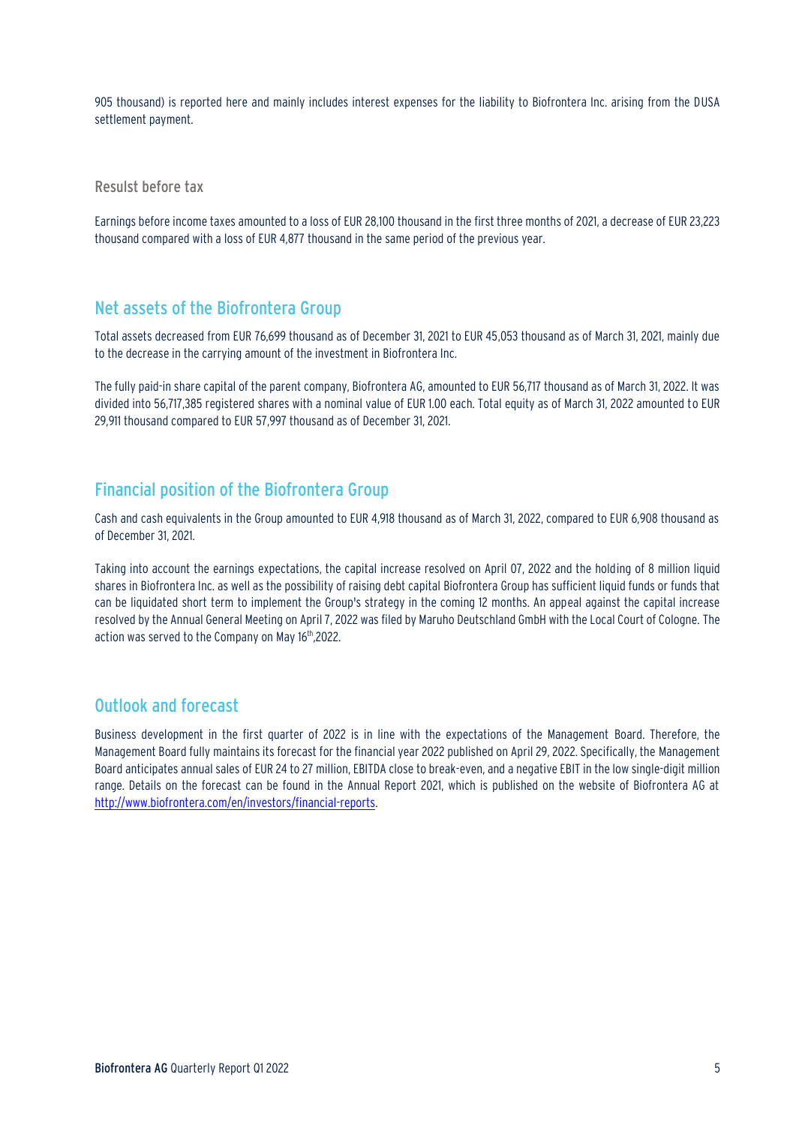905 thousand) is reported here and mainly includes interest expenses for the liability to Biofrontera Inc. arising from the DUSA settlement payment.

Resulst before tax

Earnings before income taxes amounted to a loss of EUR 28,100 thousand in the first three months of 2021, a decrease of EUR 23,223 thousand compared with a loss of EUR 4,877 thousand in the same period of the previous year.

### Net assets of the Biofrontera Group

Total assets decreased from EUR 76,699 thousand as of December 31, 2021 to EUR 45,053 thousand as of March 31, 2021, mainly due to the decrease in the carrying amount of the investment in Biofrontera Inc.

The fully paid-in share capital of the parent company, Biofrontera AG, amounted to EUR 56,717 thousand as of March 31, 2022. It was divided into 56,717,385 registered shares with a nominal value of EUR 1.00 each. Total equity as of March 31, 2022 amounted to EUR 29,911 thousand compared to EUR 57,997 thousand as of December 31, 2021.

### Financial position of the Biofrontera Group

Cash and cash equivalents in the Group amounted to EUR 4,918 thousand as of March 31, 2022, compared to EUR 6,908 thousand as of December 31, 2021.

Taking into account the earnings expectations, the capital increase resolved on April 07, 2022 and the holding of 8 million liquid shares in Biofrontera Inc. as well as the possibility of raising debt capital Biofrontera Group has sufficient liquid funds or funds that can be liquidated short term to implement the Group's strategy in the coming 12 months. An appeal against the capital increase resolved by the Annual General Meeting on April 7, 2022 was filed by Maruho Deutschland GmbH with the Local Court of Cologne. The action was served to the Company on May 16th ,2022.

### Outlook and forecast

Business development in the first quarter of 2022 is in line with the expectations of the Management Board. Therefore, the Management Board fully maintains its forecast for the financial year 2022 published on April 29, 2022. Specifically, the Management Board anticipates annual sales of EUR 24 to 27 million, EBITDA close to break-even, and a negative EBIT in the low single-digit million range. Details on the forecast can be found in the Annual Report 2021, which is published on the website of Biofrontera AG at http://www.biofrontera.com/en/investors/financial-reports.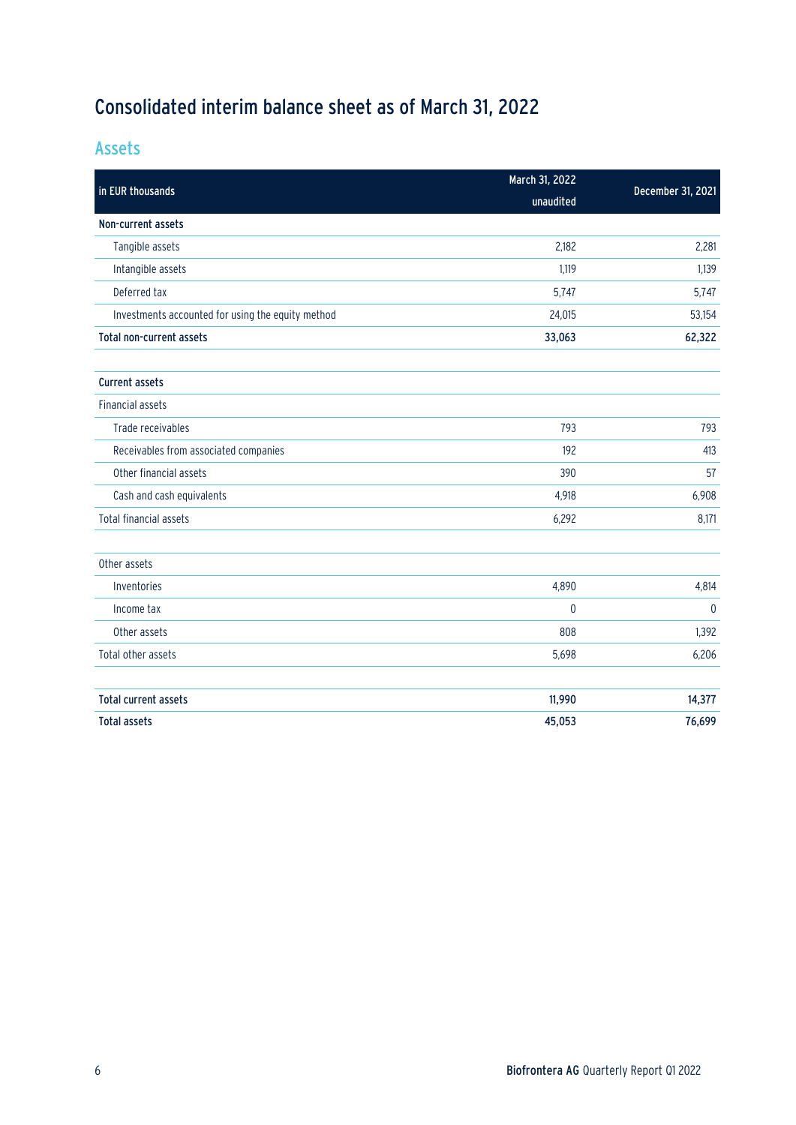# Consolidated interim balance sheet as of March 31, 2022

Assets

| in EUR thousands                                  | March 31, 2022 |                   |  |
|---------------------------------------------------|----------------|-------------------|--|
|                                                   | unaudited      | December 31, 2021 |  |
| Non-current assets                                |                |                   |  |
| Tangible assets                                   | 2,182          | 2,281             |  |
| Intangible assets                                 | 1,119          | 1,139             |  |
| Deferred tax                                      | 5,747          | 5,747             |  |
| Investments accounted for using the equity method | 24,015         | 53,154            |  |
| Total non-current assets                          | 33,063         | 62,322            |  |
| <b>Current assets</b>                             |                |                   |  |
| <b>Financial assets</b>                           |                |                   |  |
| Trade receivables                                 | 793            | 793               |  |
| Receivables from associated companies             | 192            | 413               |  |
| Other financial assets                            | 390            | 57                |  |
| Cash and cash equivalents                         | 4,918          | 6,908             |  |
| <b>Total financial assets</b>                     | 6,292          | 8,171             |  |
| Other assets                                      |                |                   |  |
| Inventories                                       | 4,890          | 4,814             |  |
| Income tax                                        | $\mathbf 0$    | $\mathbf 0$       |  |
| Other assets                                      | 808            | 1,392             |  |
| Total other assets                                | 5,698          | 6,206             |  |
| <b>Total current assets</b>                       | 11,990         | 14,377            |  |
| <b>Total assets</b>                               | 45,053         | 76,699            |  |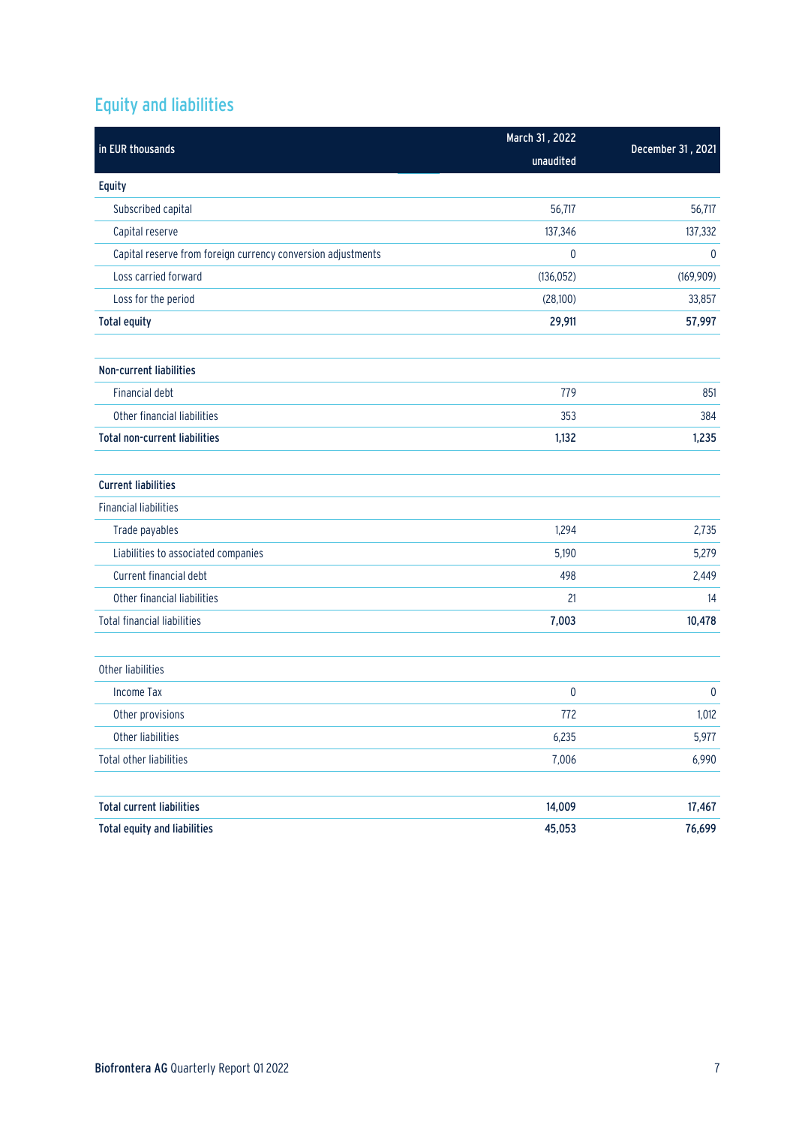# Equity and liabilities

| in EUR thousands                                             | March 31, 2022 |                   |  |
|--------------------------------------------------------------|----------------|-------------------|--|
|                                                              | unaudited      | December 31, 2021 |  |
| Equity                                                       |                |                   |  |
| Subscribed capital                                           | 56,717         | 56,717            |  |
| Capital reserve                                              | 137,346        | 137,332           |  |
| Capital reserve from foreign currency conversion adjustments | $\pmb{0}$      | $\boldsymbol{0}$  |  |
| Loss carried forward                                         | (136, 052)     | (169, 909)        |  |
| Loss for the period                                          | (28,100)       | 33,857            |  |
| <b>Total equity</b>                                          | 29,911         | 57,997            |  |
| Non-current liabilities                                      |                |                   |  |
| <b>Financial debt</b>                                        | 779            | 851               |  |
| Other financial liabilities                                  | 353            | 384               |  |
| <b>Total non-current liabilities</b>                         | 1,132          | 1,235             |  |
| <b>Current liabilities</b>                                   |                |                   |  |
| <b>Financial liabilities</b>                                 |                |                   |  |
| Trade payables                                               | 1,294          | 2,735             |  |
| Liabilities to associated companies                          | 5,190          | 5,279             |  |
| Current financial debt                                       | 498            | 2,449             |  |
| Other financial liabilities                                  | 21             | 14                |  |
| <b>Total financial liabilities</b>                           | 7,003          | 10,478            |  |
| Other liabilities                                            |                |                   |  |
| <b>Income Tax</b>                                            | $\pmb{0}$      | $\pmb{0}$         |  |
| Other provisions                                             | 772            | 1,012             |  |
| Other liabilities                                            | 6,235          | 5,977             |  |
| Total other liabilities                                      | 7,006          | 6,990             |  |
| <b>Total current liabilities</b>                             | 14,009         | 17,467            |  |
| <b>Total equity and liabilities</b>                          | 45,053         | 76,699            |  |